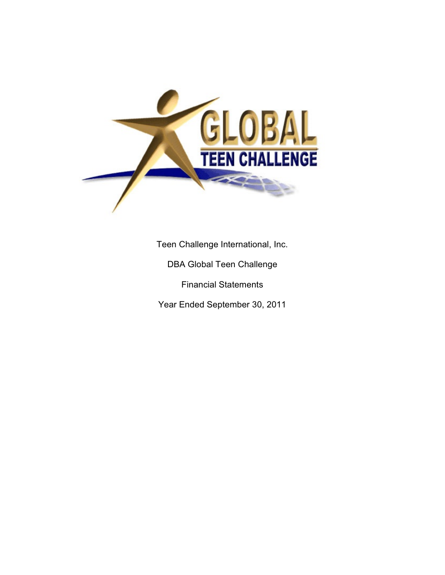

Teen Challenge International, Inc.

DBA Global Teen Challenge

Financial Statements

Year Ended September 30, 2011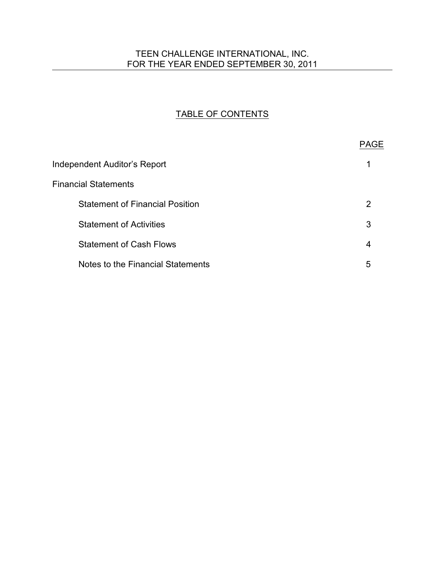## TEEN CHALLENGE INTERNATIONAL, INC. FOR THE YEAR ENDED SEPTEMBER 30, 2011

# TABLE OF CONTENTS

|                                        | <b>PAGE</b> |
|----------------------------------------|-------------|
| Independent Auditor's Report           |             |
| <b>Financial Statements</b>            |             |
| <b>Statement of Financial Position</b> | 2           |
| <b>Statement of Activities</b>         | 3           |
| <b>Statement of Cash Flows</b>         | 4           |
| Notes to the Financial Statements      | 5           |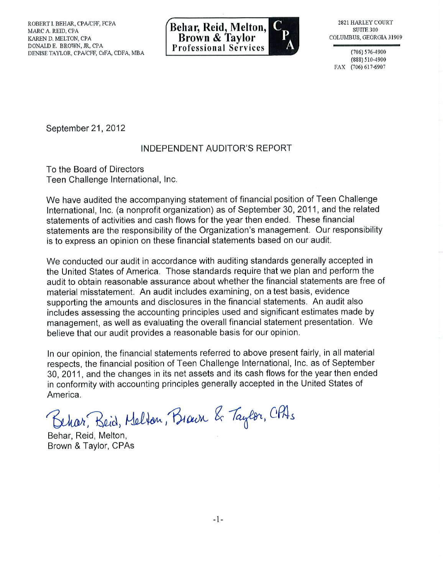

 $(706) 576 - 4900$ (888) 510-4900 FAX (706) 617-6907

September 21, 2012

## **INDEPENDENT AUDITOR'S REPORT**

To the Board of Directors Teen Challenge International, Inc.

We have audited the accompanying statement of financial position of Teen Challenge International, Inc. (a nonprofit organization) as of September 30, 2011, and the related statements of activities and cash flows for the year then ended. These financial statements are the responsibility of the Organization's management. Our responsibility is to express an opinion on these financial statements based on our audit.

We conducted our audit in accordance with auditing standards generally accepted in the United States of America. Those standards require that we plan and perform the audit to obtain reasonable assurance about whether the financial statements are free of material misstatement. An audit includes examining, on a test basis, evidence supporting the amounts and disclosures in the financial statements. An audit also includes assessing the accounting principles used and significant estimates made by management, as well as evaluating the overall financial statement presentation. We believe that our audit provides a reasonable basis for our opinion.

In our opinion, the financial statements referred to above present fairly, in all material respects, the financial position of Teen Challenge International, Inc. as of September 30, 2011, and the changes in its net assets and its cash flows for the year then ended in conformity with accounting principles generally accepted in the United States of America.

Behar, Beid, Melton, Brawn & Taylor, CPAs

Behar, Reid, Melton, Brown & Taylor, CPAs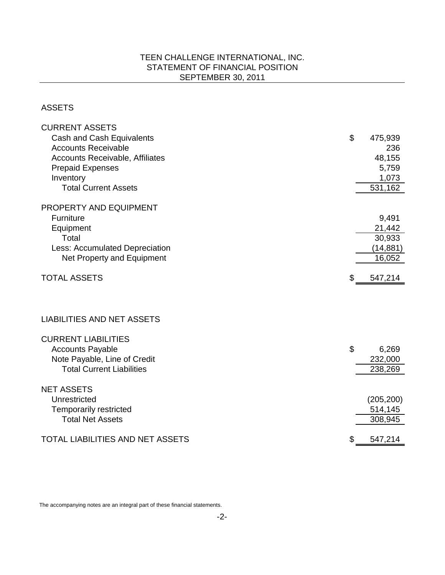## TEEN CHALLENGE INTERNATIONAL, INC. STATEMENT OF FINANCIAL POSITION SEPTEMBER 30, 2011

ASSETS

| <b>CURRENT ASSETS</b>                   |                           |            |
|-----------------------------------------|---------------------------|------------|
| Cash and Cash Equivalents               | $\boldsymbol{\mathsf{S}}$ | 475,939    |
| <b>Accounts Receivable</b>              |                           | 236        |
| <b>Accounts Receivable, Affiliates</b>  |                           | 48,155     |
| <b>Prepaid Expenses</b>                 |                           | 5,759      |
| Inventory                               |                           | 1,073      |
| <b>Total Current Assets</b>             |                           | 531,162    |
|                                         |                           |            |
| PROPERTY AND EQUIPMENT                  |                           |            |
| <b>Furniture</b>                        |                           | 9,491      |
| Equipment                               |                           | 21,442     |
| Total                                   |                           | 30,933     |
| Less: Accumulated Depreciation          |                           | (14, 881)  |
| Net Property and Equipment              |                           | 16,052     |
| <b>TOTAL ASSETS</b>                     | \$                        | 547,214    |
|                                         |                           |            |
|                                         |                           |            |
| <b>LIABILITIES AND NET ASSETS</b>       |                           |            |
| <b>CURRENT LIABILITIES</b>              |                           |            |
| <b>Accounts Payable</b>                 | \$                        | 6,269      |
| Note Payable, Line of Credit            |                           | 232,000    |
| <b>Total Current Liabilities</b>        |                           | 238,269    |
|                                         |                           |            |
| <b>NET ASSETS</b>                       |                           |            |
| Unrestricted                            |                           | (205, 200) |
| <b>Temporarily restricted</b>           |                           | 514,145    |
| <b>Total Net Assets</b>                 |                           | 308,945    |
| <b>TOTAL LIABILITIES AND NET ASSETS</b> | \$                        | 547,214    |
|                                         |                           |            |

The accompanying notes are an integral part of these financial statements.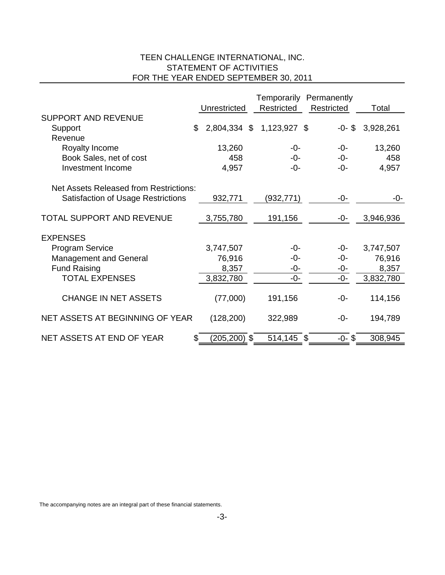## TEEN CHALLENGE INTERNATIONAL, INC. STATEMENT OF ACTIVITIES FOR THE YEAR ENDED SEPTEMBER 30, 2011

|                                               |                    |              | Temporarily Permanently |           |
|-----------------------------------------------|--------------------|--------------|-------------------------|-----------|
|                                               | Unrestricted       | Restricted   | Restricted              | Total     |
| <b>SUPPORT AND REVENUE</b>                    |                    |              |                         |           |
| Support                                       | \$<br>2,804,334 \$ | 1,123,927 \$ | $-0 - $$                | 3,928,261 |
| Revenue                                       |                    |              |                         |           |
| Royalty Income                                | 13,260             | $-0-$        | $-0-$                   | 13,260    |
| Book Sales, net of cost                       | 458                | -0-          | -0-                     | 458       |
| Investment Income                             | 4,957              | -0-          | -0-                     | 4,957     |
| <b>Net Assets Released from Restrictions:</b> |                    |              |                         |           |
| <b>Satisfaction of Usage Restrictions</b>     | 932,771            | (932,771)    | -0-                     | -0-       |
|                                               |                    |              |                         |           |
| TOTAL SUPPORT AND REVENUE                     | 3,755,780          | 191,156      | -0-                     | 3,946,936 |
| <b>EXPENSES</b>                               |                    |              |                         |           |
| <b>Program Service</b>                        | 3,747,507          | -0-          | -0-                     | 3,747,507 |
| <b>Management and General</b>                 | 76,916             | -0-          | -0-                     | 76,916    |
| <b>Fund Raising</b>                           | 8,357              | -0-          | -0-                     | 8,357     |
| <b>TOTAL EXPENSES</b>                         | 3,832,780          | $-0-$        | -0-                     | 3,832,780 |
|                                               |                    |              |                         |           |
| <b>CHANGE IN NET ASSETS</b>                   | (77,000)           | 191,156      | -0-                     | 114,156   |
| NET ASSETS AT BEGINNING OF YEAR               | (128, 200)         | 322,989      | -0-                     | 194,789   |
| NET ASSETS AT END OF YEAR                     | $(205, 200)$ \$    | 514,145 \$   | $-0-$ \$                | 308,945   |

The accompanying notes are an integral part of these financial statements.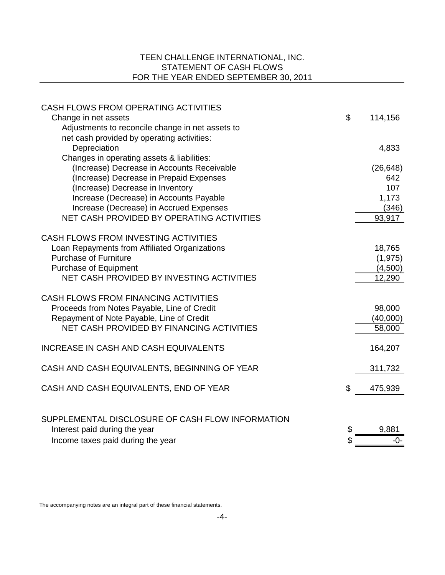## TEEN CHALLENGE INTERNATIONAL, INC. STATEMENT OF CASH FLOWS FOR THE YEAR ENDED SEPTEMBER 30, 2011

| CASH FLOWS FROM OPERATING ACTIVITIES                                          |               |
|-------------------------------------------------------------------------------|---------------|
| Change in net assets                                                          | \$<br>114,156 |
| Adjustments to reconcile change in net assets to                              |               |
| net cash provided by operating activities:                                    |               |
| Depreciation                                                                  | 4,833         |
| Changes in operating assets & liabilities:                                    |               |
| (Increase) Decrease in Accounts Receivable                                    | (26, 648)     |
| (Increase) Decrease in Prepaid Expenses                                       | 642           |
| (Increase) Decrease in Inventory                                              | 107           |
| Increase (Decrease) in Accounts Payable                                       | 1,173         |
| Increase (Decrease) in Accrued Expenses                                       | (346)         |
| NET CASH PROVIDED BY OPERATING ACTIVITIES                                     | 93,917        |
|                                                                               |               |
| <b>CASH FLOWS FROM INVESTING ACTIVITIES</b>                                   |               |
| Loan Repayments from Affiliated Organizations<br><b>Purchase of Furniture</b> | 18,765        |
|                                                                               | (1, 975)      |
| <b>Purchase of Equipment</b><br>NET CASH PROVIDED BY INVESTING ACTIVITIES     | (4,500)       |
|                                                                               | 12,290        |
| <b>CASH FLOWS FROM FINANCING ACTIVITIES</b>                                   |               |
| Proceeds from Notes Payable, Line of Credit                                   | 98,000        |
| Repayment of Note Payable, Line of Credit                                     | (40,000)      |
| NET CASH PROVIDED BY FINANCING ACTIVITIES                                     | 58,000        |
|                                                                               |               |
| <b>INCREASE IN CASH AND CASH EQUIVALENTS</b>                                  | 164,207       |
| CASH AND CASH EQUIVALENTS, BEGINNING OF YEAR                                  | 311,732       |
|                                                                               |               |
| CASH AND CASH EQUIVALENTS, END OF YEAR                                        | \$<br>475,939 |
|                                                                               |               |
| SUPPLEMENTAL DISCLOSURE OF CASH FLOW INFORMATION                              |               |
| Interest paid during the year                                                 | \$<br>9,881   |
| Income taxes paid during the year                                             | \$<br>$-0-$   |

The accompanying notes are an integral part of these financial statements.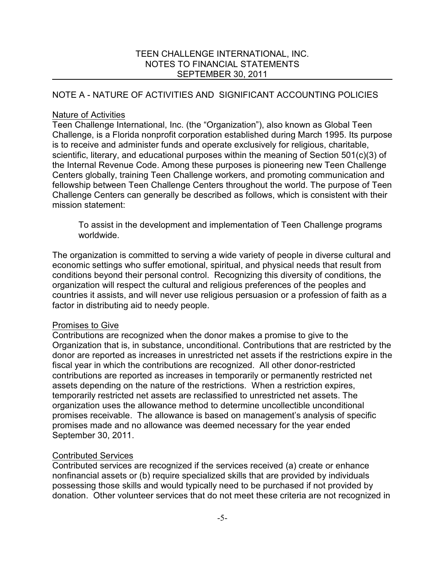## NOTE A - NATURE OF ACTIVITIES AND SIGNIFICANT ACCOUNTING POLICIES

### Nature of Activities

Teen Challenge International, Inc. (the "Organization"), also known as Global Teen Challenge, is a Florida nonprofit corporation established during March 1995. Its purpose is to receive and administer funds and operate exclusively for religious, charitable, scientific, literary, and educational purposes within the meaning of Section 501(c)(3) of the Internal Revenue Code. Among these purposes is pioneering new Teen Challenge Centers globally, training Teen Challenge workers, and promoting communication and fellowship between Teen Challenge Centers throughout the world. The purpose of Teen Challenge Centers can generally be described as follows, which is consistent with their mission statement:

To assist in the development and implementation of Teen Challenge programs worldwide.

The organization is committed to serving a wide variety of people in diverse cultural and economic settings who suffer emotional, spiritual, and physical needs that result from conditions beyond their personal control. Recognizing this diversity of conditions, the organization will respect the cultural and religious preferences of the peoples and countries it assists, and will never use religious persuasion or a profession of faith as a factor in distributing aid to needy people.

## Promises to Give

Contributions are recognized when the donor makes a promise to give to the Organization that is, in substance, unconditional. Contributions that are restricted by the donor are reported as increases in unrestricted net assets if the restrictions expire in the fiscal year in which the contributions are recognized. All other donor-restricted contributions are reported as increases in temporarily or permanently restricted net assets depending on the nature of the restrictions. When a restriction expires, temporarily restricted net assets are reclassified to unrestricted net assets. The organization uses the allowance method to determine uncollectible unconditional promises receivable. The allowance is based on management's analysis of specific promises made and no allowance was deemed necessary for the year ended September 30, 2011.

## Contributed Services

Contributed services are recognized if the services received (a) create or enhance nonfinancial assets or (b) require specialized skills that are provided by individuals possessing those skills and would typically need to be purchased if not provided by donation. Other volunteer services that do not meet these criteria are not recognized in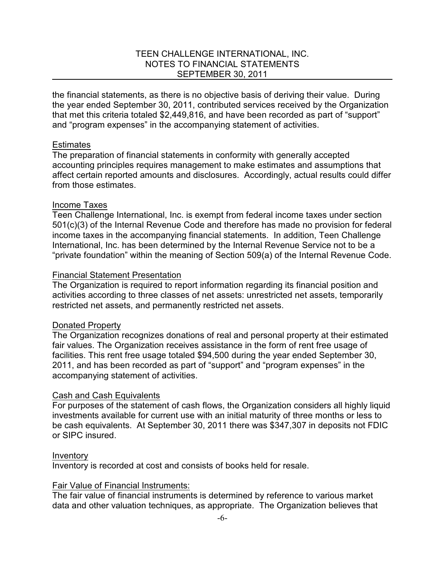the financial statements, as there is no objective basis of deriving their value. During the year ended September 30, 2011, contributed services received by the Organization that met this criteria totaled \$2,449,816, and have been recorded as part of "support" and "program expenses" in the accompanying statement of activities.

#### **Estimates**

The preparation of financial statements in conformity with generally accepted accounting principles requires management to make estimates and assumptions that affect certain reported amounts and disclosures. Accordingly, actual results could differ from those estimates.

#### Income Taxes

Teen Challenge International, Inc. is exempt from federal income taxes under section 501(c)(3) of the Internal Revenue Code and therefore has made no provision for federal income taxes in the accompanying financial statements. In addition, Teen Challenge International, Inc. has been determined by the Internal Revenue Service not to be a "private foundation" within the meaning of Section 509(a) of the Internal Revenue Code.

#### Financial Statement Presentation

The Organization is required to report information regarding its financial position and activities according to three classes of net assets: unrestricted net assets, temporarily restricted net assets, and permanently restricted net assets.

#### Donated Property

The Organization recognizes donations of real and personal property at their estimated fair values. The Organization receives assistance in the form of rent free usage of facilities. This rent free usage totaled \$94,500 during the year ended September 30, 2011, and has been recorded as part of "support" and "program expenses" in the accompanying statement of activities.

#### Cash and Cash Equivalents

For purposes of the statement of cash flows, the Organization considers all highly liquid investments available for current use with an initial maturity of three months or less to be cash equivalents. At September 30, 2011 there was \$347,307 in deposits not FDIC or SIPC insured.

#### Inventory

Inventory is recorded at cost and consists of books held for resale.

#### Fair Value of Financial Instruments:

The fair value of financial instruments is determined by reference to various market data and other valuation techniques, as appropriate. The Organization believes that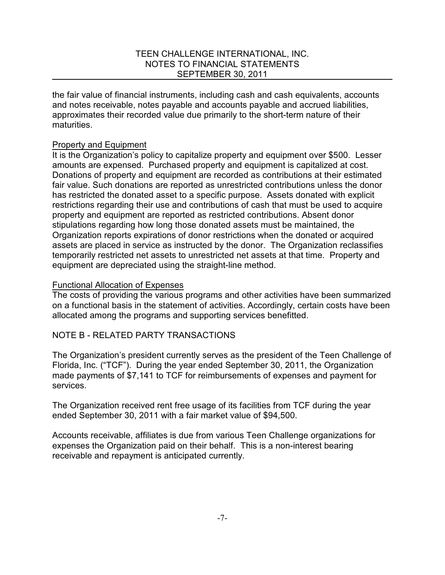the fair value of financial instruments, including cash and cash equivalents, accounts and notes receivable, notes payable and accounts payable and accrued liabilities, approximates their recorded value due primarily to the short-term nature of their maturities.

### Property and Equipment

It is the Organization's policy to capitalize property and equipment over \$500. Lesser amounts are expensed. Purchased property and equipment is capitalized at cost. Donations of property and equipment are recorded as contributions at their estimated fair value. Such donations are reported as unrestricted contributions unless the donor has restricted the donated asset to a specific purpose. Assets donated with explicit restrictions regarding their use and contributions of cash that must be used to acquire property and equipment are reported as restricted contributions. Absent donor stipulations regarding how long those donated assets must be maintained, the Organization reports expirations of donor restrictions when the donated or acquired assets are placed in service as instructed by the donor. The Organization reclassifies temporarily restricted net assets to unrestricted net assets at that time. Property and equipment are depreciated using the straight-line method.

### Functional Allocation of Expenses

The costs of providing the various programs and other activities have been summarized on a functional basis in the statement of activities. Accordingly, certain costs have been allocated among the programs and supporting services benefitted.

## NOTE B - RELATED PARTY TRANSACTIONS

The Organization's president currently serves as the president of the Teen Challenge of Florida, Inc. ("TCF"). During the year ended September 30, 2011, the Organization made payments of \$7,141 to TCF for reimbursements of expenses and payment for services.

The Organization received rent free usage of its facilities from TCF during the year ended September 30, 2011 with a fair market value of \$94,500.

Accounts receivable, affiliates is due from various Teen Challenge organizations for expenses the Organization paid on their behalf. This is a non-interest bearing receivable and repayment is anticipated currently.